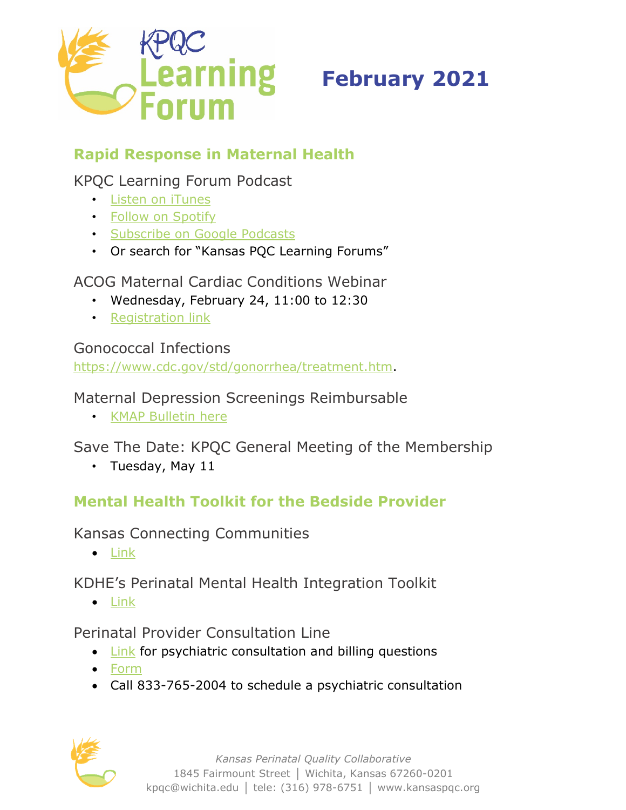

# **February 2021**

# **Rapid Response in Maternal Health**

## KPQC Learning Forum Podcast

- [Listen on iTunes](https://podcasts.apple.com/us/podcast/kansas-pqc-learning-forums/id1547497865)
- [Follow on Spotify](https://open.spotify.com/show/3v6UozpHE1SdCjwJmmPw8m?si=hQjMVGmFToiZ-gDC3cA29Q)
- [Subscribe on Google Podcasts](https://podcasts.google.com/feed/aHR0cHM6Ly9mZWVkcy5zb3VuZGNsb3VkLmNvbS91c2Vycy9zb3VuZGNsb3VkOnVzZXJzOjg2MzE5MTEwMi9zb3VuZHMucnNz?ep=14)
- Or search for "Kansas PQC Learning Forums"

ACOG Maternal Cardiac Conditions Webinar

- Wednesday, February 24, 11:00 to 12:30
- [Registration link](https://mail.nichq.org/e2t/tc/VVvH6j17bmQ2W312tdR3Qrr-lW7RdXLG4mmKhVN6N1vZc3p_9rV1-WJV7CgN21W5CzCjf11fq6CW9j4fwh85zHfSW6yrDKC4LHsJ4W95BKtW6m7Ph8N39cXgvkdxvsW2CyrsQ7RpjnSW93gFFK3pT1tyN71m3XJG3KmPVWsC7298NnmGN4kQfCDtZ5r9W8tV31P4-5xK1W6SBbPv6MjxDYVwDx1H6JjdYcW8RL9yG3FXzDVW4LxYGB8R9-_PW7Cws972DZ7hNW67Df_94fHsJFW4h9S1X107_mkMVWH4ljMW9DW3n9nQZ3NlnJQW58rPMJ813kmPW3MCF9z4CnK_9W7L07-v6QT99rW4QH_6j2GFxjRW8D8vmw2y9GBpW8YTQtM5kjM-H3m771)

Gonococcal Infections

[https://www.cdc.gov/std/gonorrhea/treatment.htm.](https://www.cdc.gov/std/gonorrhea/treatment.htm)

Maternal Depression Screenings Reimbursable

• [KMAP Bulletin here](https://www.kmap-state-ks.us/Documents/Content/Bulletins/20263%20-%20General%20-%20Maternal_Depression_Screenings.pdf)

Save The Date: KPQC General Meeting of the Membership

• Tuesday, May 11

## **Mental Health Toolkit for the Bedside Provider**

Kansas Connecting Communities

• [Link](https://www.kansasmch.org/connecting-communities.asp)

KDHE's Perinatal Mental Health Integration Toolkit

• [Link](https://www.kdheks.gov/c-f/mental_health_integration.htm)

Perinatal Provider Consultation Line

- [Link](https://www.kansasmch.org/psychiatric-consultation-care-coordination.asp) for psychiatric consultation and billing questions
- [Form](https://docs.google.com/forms/d/e/1FAIpQLSexunINsE2kf00icppvGnRNvMpvhy9JvfP-z0-KOfSlfSZaZQ/viewform)
- Call 833-765-2004 to schedule a psychiatric consultation